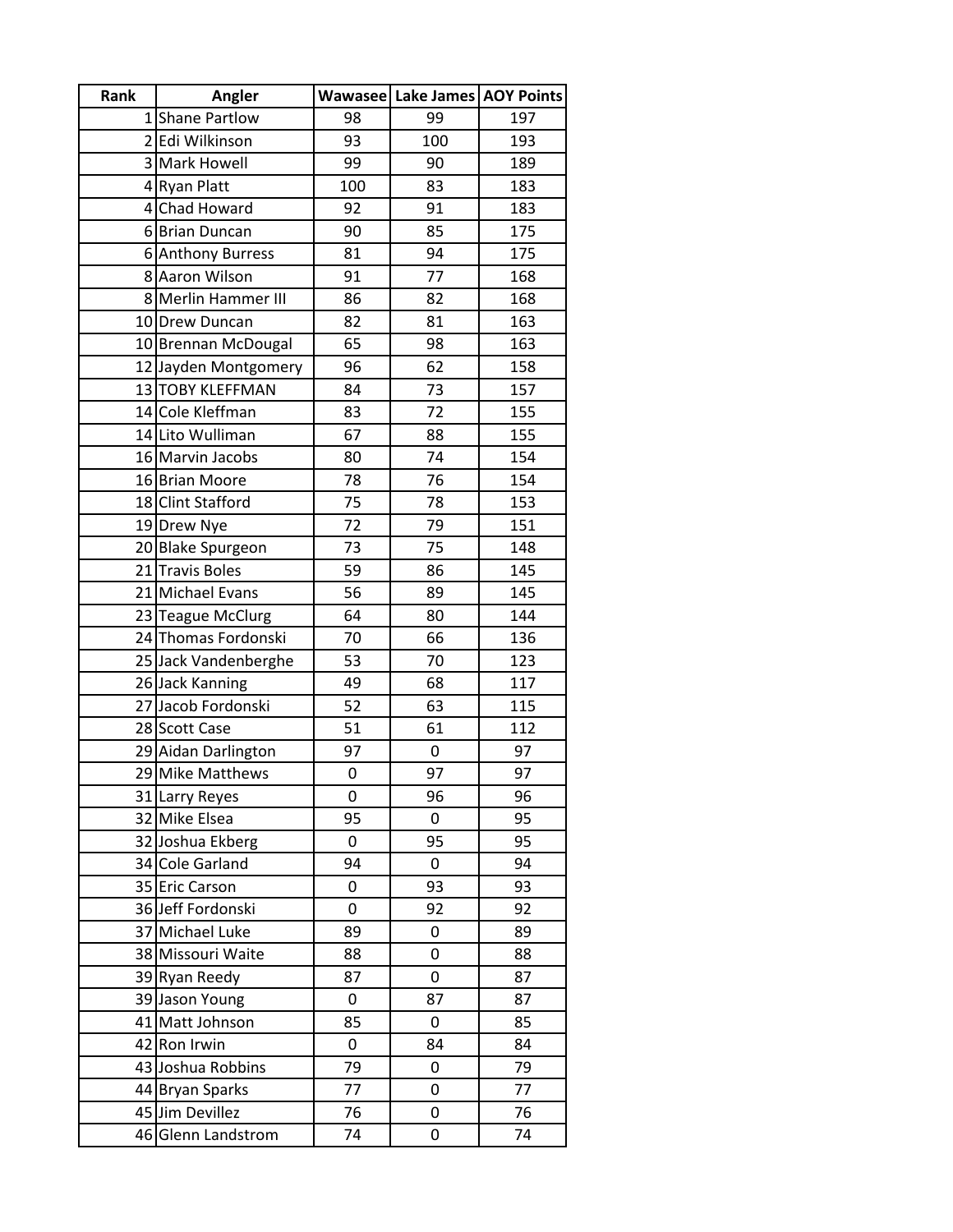| Rank | Angler               |     | Wawasee Lake James AOY Points |     |
|------|----------------------|-----|-------------------------------|-----|
|      | 1 Shane Partlow      | 98  | 99                            | 197 |
|      | 2 Edi Wilkinson      | 93  | 100                           | 193 |
|      | 3 Mark Howell        | 99  | 90                            | 189 |
|      | 4 Ryan Platt         | 100 | 83                            | 183 |
|      | 4 Chad Howard        | 92  | 91                            | 183 |
|      | 6 Brian Duncan       | 90  | 85                            | 175 |
|      | 6 Anthony Burress    | 81  | 94                            | 175 |
|      | 8 Aaron Wilson       | 91  | 77                            | 168 |
|      | 8 Merlin Hammer III  | 86  | 82                            | 168 |
|      | 10 Drew Duncan       | 82  | 81                            | 163 |
|      | 10 Brennan McDougal  | 65  | 98                            | 163 |
|      | 12 Jayden Montgomery | 96  | 62                            | 158 |
|      | 13 TOBY KLEFFMAN     | 84  | 73                            | 157 |
|      | 14 Cole Kleffman     | 83  | 72                            | 155 |
|      | 14 Lito Wulliman     | 67  | 88                            | 155 |
|      | 16 Marvin Jacobs     | 80  | 74                            | 154 |
|      | 16 Brian Moore       | 78  | 76                            | 154 |
|      | 18 Clint Stafford    | 75  | 78                            | 153 |
|      | 19 Drew Nye          | 72  | 79                            | 151 |
|      | 20 Blake Spurgeon    | 73  | 75                            | 148 |
|      | 21 Travis Boles      | 59  | 86                            | 145 |
|      | 21 Michael Evans     | 56  | 89                            | 145 |
|      | 23 Teague McClurg    | 64  | 80                            | 144 |
|      | 24 Thomas Fordonski  | 70  | 66                            | 136 |
|      | 25 Jack Vandenberghe | 53  | 70                            | 123 |
|      | 26 Jack Kanning      | 49  | 68                            | 117 |
|      | 27 Jacob Fordonski   | 52  | 63                            | 115 |
|      | 28 Scott Case        | 51  | 61                            | 112 |
|      | 29 Aidan Darlington  | 97  | 0                             | 97  |
|      | 29 Mike Matthews     | 0   | 97                            | 97  |
|      | 31 Larry Reyes       | 0   | 96                            | 96  |
|      | 32 Mike Elsea        | 95  | 0                             | 95  |
|      | 32 Joshua Ekberg     | 0   | 95                            | 95  |
|      | 34 Cole Garland      | 94  | 0                             | 94  |
|      | 35 Eric Carson       | 0   | 93                            | 93  |
|      | 36 Jeff Fordonski    | 0   | 92                            | 92  |
|      | 37 Michael Luke      | 89  | 0                             | 89  |
|      | 38 Missouri Waite    | 88  | 0                             | 88  |
|      | 39 Ryan Reedy        | 87  | 0                             | 87  |
|      | 39 Jason Young       | 0   | 87                            | 87  |
|      | 41 Matt Johnson      | 85  | 0                             | 85  |
|      | 42 Ron Irwin         | 0   | 84                            | 84  |
|      | 43 Joshua Robbins    | 79  | 0                             | 79  |
|      | 44 Bryan Sparks      | 77  | 0                             | 77  |
|      | 45 Jim Devillez      | 76  | 0                             | 76  |
|      | 46 Glenn Landstrom   | 74  | 0                             | 74  |